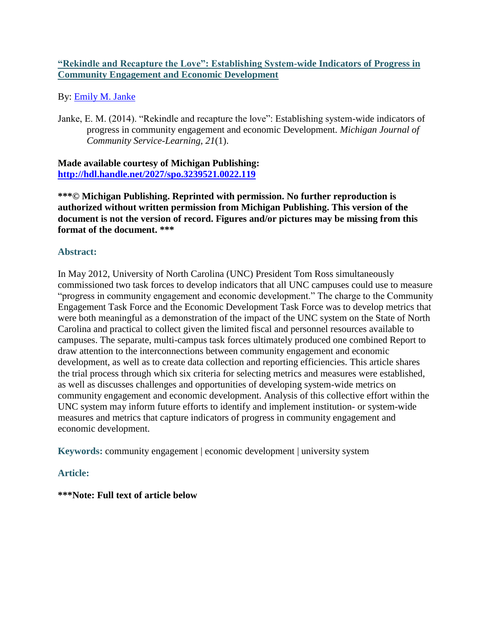# **"Rekindle and Recapture the Love": Establishing System-wide Indicators of Progress in Community Engagement and Economic Development**

By: [Emily M. Janke](https://libres.uncg.edu/ir/uncg/clist.aspx?id=13855)

Janke, E. M. (2014). "Rekindle and recapture the love": Establishing system-wide indicators of progress in community engagement and economic Development. *Michigan Journal of Community Service-Learning, 21*(1).

**Made available courtesy of Michigan Publishing: <http://hdl.handle.net/2027/spo.3239521.0022.119>**

**\*\*\*© Michigan Publishing. Reprinted with permission. No further reproduction is authorized without written permission from Michigan Publishing. This version of the document is not the version of record. Figures and/or pictures may be missing from this format of the document. \*\*\***

# **Abstract:**

In May 2012, University of North Carolina (UNC) President Tom Ross simultaneously commissioned two task forces to develop indicators that all UNC campuses could use to measure "progress in community engagement and economic development." The charge to the Community Engagement Task Force and the Economic Development Task Force was to develop metrics that were both meaningful as a demonstration of the impact of the UNC system on the State of North Carolina and practical to collect given the limited fiscal and personnel resources available to campuses. The separate, multi-campus task forces ultimately produced one combined Report to draw attention to the interconnections between community engagement and economic development, as well as to create data collection and reporting efficiencies. This article shares the trial process through which six criteria for selecting metrics and measures were established, as well as discusses challenges and opportunities of developing system-wide metrics on community engagement and economic development. Analysis of this collective effort within the UNC system may inform future efforts to identify and implement institution- or system-wide measures and metrics that capture indicators of progress in community engagement and economic development.

**Keywords:** community engagement | economic development | university system

# **Article:**

**\*\*\*Note: Full text of article below**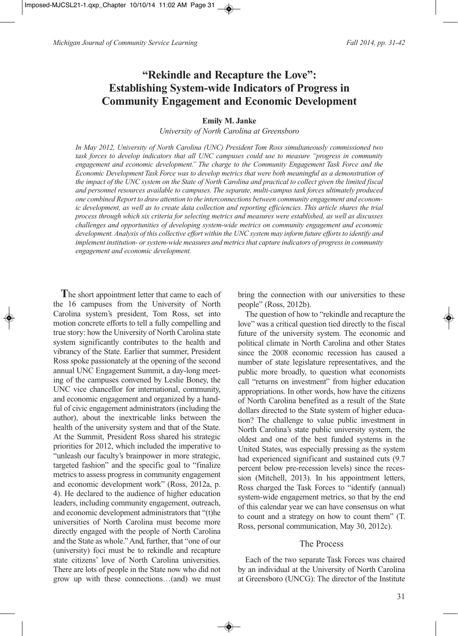# **"Rekindle and Recapture the Love": Establishing System-wide Indicators of Progress in Community Engagement and Economic Development**

### **Emily M. Janke**

*University of North Carolina at Greensboro*

*In May 2012, University of North Carolina (UNC) President Tom Ross simultaneously commissioned two task forces to develop indicators that all UNC campuses could use to measure "progress in community engagement and economic development." The charge to the Community Engagement Task Force and the Economic Development Task Force was to develop metrics that were both meaningful as a demonstration of the impact of the UNC system on the State of North Carolina and practical to collect given the limited fiscal and personnel resources available to campuses. The separate, multi-campus task forces ultimately produced one combined Report to draw attention to the interconnections between community engagement and economic development, as well as to create data collection and reporting efficiencies. This article shares the trial process through which six criteria for selecting metrics and measures were established, as well as discusses challenges and opportunities of developing system-wide metrics on community engagement and economic development. Analysis of this collective effort within the UNC system may inform future efforts to identify and implement institution- or system-wide measures and metrics that capture indicators of progress in community engagement and economic development.*

**T**he short appointment letter that came to each of the 16 campuses from the University of North Carolina system's president, Tom Ross, set into motion concrete efforts to tell a fully compelling and true story: how the University of North Carolina state system significantly contributes to the health and vibrancy of the State. Earlier that summer, President Ross spoke passionately at the opening of the second annual UNC Engagement Summit, a day-long meeting of the campuses convened by Leslie Boney, the UNC vice chancellor for international, community, and economic engagement and organized by a handful of civic engagement administrators (including the author), about the inextricable links between the health of the university system and that of the State. At the Summit, President Ross shared his strategic priorities for 2012, which included the imperative to "unleash our faculty's brainpower in more strategic, targeted fashion" and the specific goal to "finalize metrics to assess progress in community engagement and economic development work" (Ross, 2012a, p. 4). He declared to the audience of higher education leaders, including community engagement, outreach, and economic development administrators that "(t)he universities of North Carolina must become more directly engaged with the people of North Carolina and the State as whole." And, further, that "one of our (university) foci must be to rekindle and recapture state citizens' love of North Carolina universities. There are lots of people in the State now who did not grow up with these connections…(and) we must

bring the connection with our universities to these people" (Ross, 2012b).

The question of how to "rekindle and recapture the love" was a critical question tied directly to the fiscal future of the university system. The economic and political climate in North Carolina and other States since the 2008 economic recession has caused a number of state legislature representatives, and the public more broadly, to question what economists call "returns on investment" from higher education appropriations. In other words, how have the citizens of North Carolina benefited as a result of the State dollars directed to the State system of higher education? The challenge to value public investment in North Carolina's state public university system, the oldest and one of the best funded systems in the United States, was especially pressing as the system had experienced significant and sustained cuts (9.7 percent below pre-recession levels) since the recession (Mitchell, 2013). In his appointment letters, Ross charged the Task Forces to "identify (annual) system-wide engagement metrics, so that by the end of this calendar year we can have consensus on what to count and a strategy on how to count them" (T. Ross, personal communication, May 30, 2012c).

## The Process

Each of the two separate Task Forces was chaired by an individual at the University of North Carolina at Greensboro (UNCG): The director of the Institute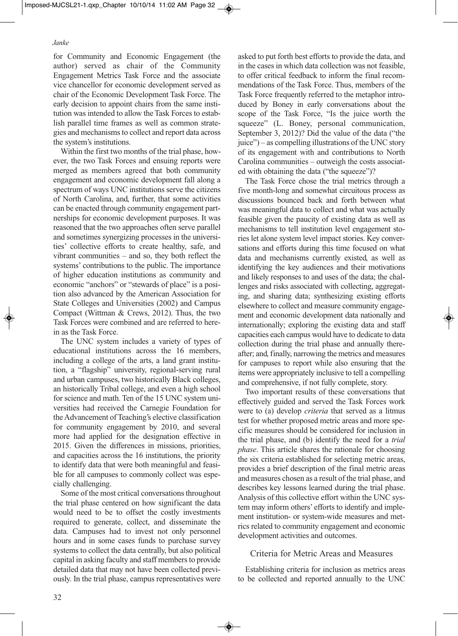for Community and Economic Engagement (the author) served as chair of the Community Engagement Metrics Task Force and the associate vice chancellor for economic development served as chair of the Economic Development Task Force. The early decision to appoint chairs from the same institution was intended to allow the Task Forces to establish parallel time frames as well as common strategies and mechanisms to collect and report data across the system's institutions.

Within the first two months of the trial phase, however, the two Task Forces and ensuing reports were merged as members agreed that both community engagement and economic development fall along a spectrum of ways UNC institutions serve the citizens of North Carolina, and, further, that some activities can be enacted through community engagement partnerships for economic development purposes. It was reasoned that the two approaches often serve parallel and sometimes synergizing processes in the universities' collective efforts to create healthy, safe, and vibrant communities – and so, they both reflect the systems' contributions to the public. The importance of higher education institutions as community and economic "anchors" or "stewards of place" is a position also advanced by the American Association for State Colleges and Universities (2002) and Campus Compact (Wittman & Crews, 2012). Thus, the two Task Forces were combined and are referred to herein as the Task Force.

The UNC system includes a variety of types of educational institutions across the 16 members, including a college of the arts, a land grant institution, a "flagship" university, regional-serving rural and urban campuses, two historically Black colleges, an historically Tribal college, and even a high school for science and math. Ten of the 15 UNC system universities had received the Carnegie Foundation for the Advancement of Teaching's elective classification for community engagement by 2010, and several more had applied for the designation effective in 2015. Given the differences in missions, priorities, and capacities across the 16 institutions, the priority to identify data that were both meaningful and feasible for all campuses to commonly collect was especially challenging.

Some of the most critical conversations throughout the trial phase centered on how significant the data would need to be to offset the costly investments required to generate, collect, and disseminate the data. Campuses had to invest not only personnel hours and in some cases funds to purchase survey systems to collect the data centrally, but also political capital in asking faculty and staff members to provide detailed data that may not have been collected previously. In the trial phase, campus representatives were

asked to put forth best efforts to provide the data, and in the cases in which data collection was not feasible, to offer critical feedback to inform the final recommendations of the Task Force. Thus, members of the Task Force frequently referred to the metaphor introduced by Boney in early conversations about the scope of the Task Force, "Is the juice worth the squeeze" (L. Boney, personal communication, September 3, 2012)? Did the value of the data ("the juice") – as compelling illustrations of the UNC story of its engagement with and contributions to North Carolina communities – outweigh the costs associated with obtaining the data ("the squeeze")?

The Task Force chose the trial metrics through a five month-long and somewhat circuitous process as discussions bounced back and forth between what was meaningful data to collect and what was actually feasible given the paucity of existing data as well as mechanisms to tell institution level engagement stories let alone system level impact stories. Key conversations and efforts during this time focused on what data and mechanisms currently existed, as well as identifying the key audiences and their motivations and likely responses to and uses of the data; the challenges and risks associated with collecting, aggregating, and sharing data; synthesizing existing efforts elsewhere to collect and measure community engagement and economic development data nationally and internationally; exploring the existing data and staff capacities each campus would have to dedicate to data collection during the trial phase and annually thereafter; and, finally, narrowing the metrics and measures for campuses to report while also ensuring that the items were appropriately inclusive to tell a compelling and comprehensive, if not fully complete, story.

Two important results of these conversations that effectively guided and served the Task Forces work were to (a) develop *criteria* that served as a litmus test for whether proposed metric areas and more specific measures should be considered for inclusion in the trial phase, and (b) identify the need for a *trial phase*. This article shares the rationale for choosing the six criteria established for selecting metric areas, provides a brief description of the final metric areas and measures chosen as a result of the trial phase, and describes key lessons learned during the trial phase. Analysis of this collective effort within the UNC system may inform others' efforts to identify and implement institution- or system-wide measures and metrics related to community engagement and economic development activities and outcomes.

# Criteria for Metric Areas and Measures

Establishing criteria for inclusion as metrics areas to be collected and reported annually to the UNC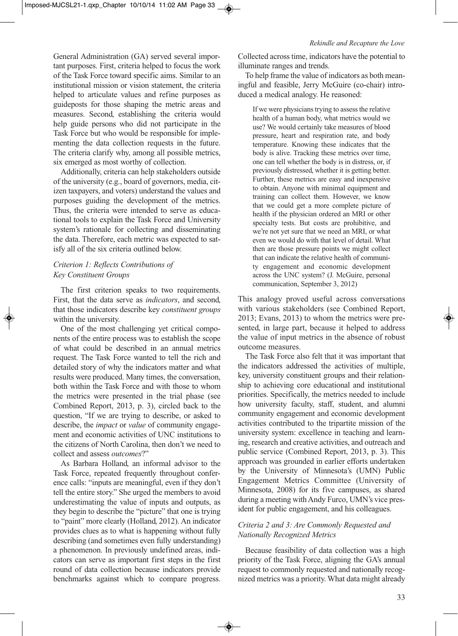General Administration (GA) served several important purposes. First, criteria helped to focus the work of the Task Force toward specific aims. Similar to an institutional mission or vision statement, the criteria helped to articulate values and refine purposes as guideposts for those shaping the metric areas and measures. Second, establishing the criteria would help guide persons who did not participate in the Task Force but who would be responsible for implementing the data collection requests in the future. The criteria clarify why, among all possible metrics, six emerged as most worthy of collection.

Additionally, criteria can help stakeholders outside of the university (e.g., board of governors, media, citizen taxpayers, and voters) understand the values and purposes guiding the development of the metrics. Thus, the criteria were intended to serve as educational tools to explain the Task Force and University system's rationale for collecting and disseminating the data. Therefore, each metric was expected to satisfy all of the six criteria outlined below.

# *Criterion 1: Reflects Contributions of Key Constituent Groups*

The first criterion speaks to two requirements. First, that the data serve as *indicators*, and second, that those indicators describe key *constituent groups* within the university.

One of the most challenging yet critical components of the entire process was to establish the scope of what could be described in an annual metrics request. The Task Force wanted to tell the rich and detailed story of why the indicators matter and what results were produced. Many times, the conversation, both within the Task Force and with those to whom the metrics were presented in the trial phase (see Combined Report, 2013, p. 3), circled back to the question, "If we are trying to describe, or asked to describe, the *impact* or *value* of community engagement and economic activities of UNC institutions to the citizens of North Carolina, then don't we need to collect and assess *outcomes*?"

As Barbara Holland, an informal advisor to the Task Force, repeated frequently throughout conference calls: "inputs are meaningful, even if they don't tell the entire story." She urged the members to avoid underestimating the value of inputs and outputs, as they begin to describe the "picture" that one is trying to "paint" more clearly (Holland, 2012). An indicator provides clues as to what is happening without fully describing (and sometimes even fully understanding) a phenomenon. In previously undefined areas, indicators can serve as important first steps in the first round of data collection because indicators provide benchmarks against which to compare progress. Collected across time, indicators have the potential to illuminate ranges and trends.

To help frame the value of indicators as both meaningful and feasible, Jerry McGuire (co-chair) introduced a medical analogy. He reasoned:

If we were physicians trying to assess the relative health of a human body, what metrics would we use? We would certainly take measures of blood pressure, heart and respiration rate, and body temperature. Knowing these indicates that the body is alive. Tracking these metrics over time, one can tell whether the body is in distress, or, if previously distressed, whether it is getting better. Further, these metrics are easy and inexpensive to obtain. Anyone with minimal equipment and training can collect them. However, we know that we could get a more complete picture of health if the physician ordered an MRI or other specialty tests. But costs are prohibitive, and we're not yet sure that we need an MRI, or what even we would do with that level of detail. What then are those pressure points we might collect that can indicate the relative health of community engagement and economic development across the UNC system? (J. McGuire, personal communication, September 3, 2012)

This analogy proved useful across conversations with various stakeholders (see Combined Report, 2013; Evans, 2013) to whom the metrics were presented, in large part, because it helped to address the value of input metrics in the absence of robust outcome measures.

The Task Force also felt that it was important that the indicators addressed the activities of multiple, key, university constituent groups and their relationship to achieving core educational and institutional priorities. Specifically, the metrics needed to include how university faculty, staff, student, and alumni community engagement and economic development activities contributed to the tripartite mission of the university system: excellence in teaching and learning, research and creative activities, and outreach and public service (Combined Report, 2013, p. 3). This approach was grounded in earlier efforts undertaken by the University of Minnesota's (UMN) Public Engagement Metrics Committee (University of Minnesota, 2008) for its five campuses, as shared during a meeting with Andy Furco, UMN's vice president for public engagement, and his colleagues.

### *Criteria 2 and 3: Are Commonly Requested and Nationally Recognized Metrics*

Because feasibility of data collection was a high priority of the Task Force, aligning the GA's annual request to commonly requested and nationally recognized metrics was a priority. What data might already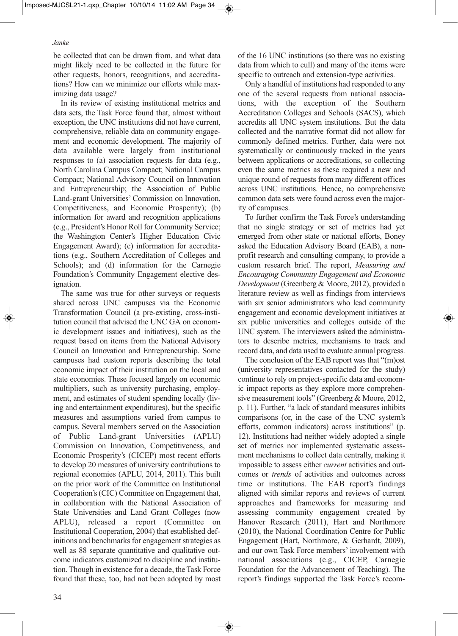be collected that can be drawn from, and what data might likely need to be collected in the future for other requests, honors, recognitions, and accreditations? How can we minimize our efforts while maximizing data usage?

In its review of existing institutional metrics and data sets, the Task Force found that, almost without exception, the UNC institutions did not have current, comprehensive, reliable data on community engagement and economic development. The majority of data available were largely from institutional responses to (a) association requests for data (e.g., North Carolina Campus Compact; National Campus Compact; National Advisory Council on Innovation and Entrepreneurship; the Association of Public Land-grant Universities' Commission on Innovation, Competitiveness, and Economic Prosperity); (b) information for award and recognition applications (e.g., President's Honor Roll for Community Service; the Washington Center's Higher Education Civic Engagement Award); (c) information for accreditations (e.g., Southern Accreditation of Colleges and Schools); and (d) information for the Carnegie Foundation's Community Engagement elective designation.

The same was true for other surveys or requests shared across UNC campuses via the Economic Transformation Council (a pre-existing, cross-institution council that advised the UNC GA on economic development issues and initiatives), such as the request based on items from the National Advisory Council on Innovation and Entrepreneurship. Some campuses had custom reports describing the total economic impact of their institution on the local and state economies. These focused largely on economic multipliers, such as university purchasing, employment, and estimates of student spending locally (living and entertainment expenditures), but the specific measures and assumptions varied from campus to campus. Several members served on the Association of Public Land-grant Universities (APLU) Commission on Innovation, Competitiveness, and Economic Prosperity's (CICEP) most recent efforts to develop 20 measures of university contributions to regional economies (APLU, 2014, 2011). This built on the prior work of the Committee on Institutional Cooperation's (CIC) Committee on Engagement that, in collaboration with the National Association of State Universities and Land Grant Colleges (now APLU), released a report (Committee on Institutional Cooperation, 2004) that established definitions and benchmarks for engagement strategies as well as 88 separate quantitative and qualitative outcome indicators customized to discipline and institution. Though in existence for a decade, the Task Force found that these, too, had not been adopted by most

of the 16 UNC institutions (so there was no existing data from which to cull) and many of the items were specific to outreach and extension-type activities.

Only a handful of institutions had responded to any one of the several requests from national associations, with the exception of the Southern Accreditation Colleges and Schools (SACS), which accredits all UNC system institutions. But the data collected and the narrative format did not allow for commonly defined metrics. Further, data were not systematically or continuously tracked in the years between applications or accreditations, so collecting even the same metrics as these required a new and unique round of requests from many different offices across UNC institutions. Hence, no comprehensive common data sets were found across even the majority of campuses.

To further confirm the Task Force's understanding that no single strategy or set of metrics had yet emerged from other state or national efforts, Boney asked the Education Advisory Board (EAB), a nonprofit research and consulting company, to provide a custom research brief. The report, *Measuring and Encouraging Community Engagement and Economic Development* (Greenberg & Moore, 2012), provided a literature review as well as findings from interviews with six senior administrators who lead community engagement and economic development initiatives at six public universities and colleges outside of the UNC system. The interviewers asked the administrators to describe metrics, mechanisms to track and record data, and data used to evaluate annual progress.

The conclusion of the EAB report was that "(m)ost (university representatives contacted for the study) continue to rely on project-specific data and economic impact reports as they explore more comprehensive measurement tools" (Greenberg & Moore, 2012, p. 11). Further, "a lack of standard measures inhibits comparisons (or, in the case of the UNC system's efforts, common indicators) across institutions" (p. 12). Institutions had neither widely adopted a single set of metrics nor implemented systematic assessment mechanisms to collect data centrally, making it impossible to assess either *current* activities and outcomes or *trends* of activities and outcomes across time or institutions. The EAB report's findings aligned with similar reports and reviews of current approaches and frameworks for measuring and assessing community engagement created by Hanover Research (2011), Hart and Northmore (2010), the National Coordination Centre for Public Engagement (Hart, Northmore, & Gerhardt, 2009), and our own Task Force members' involvement with national associations (e.g., CICEP, Carnegie Foundation for the Advancement of Teaching). The report's findings supported the Task Force's recom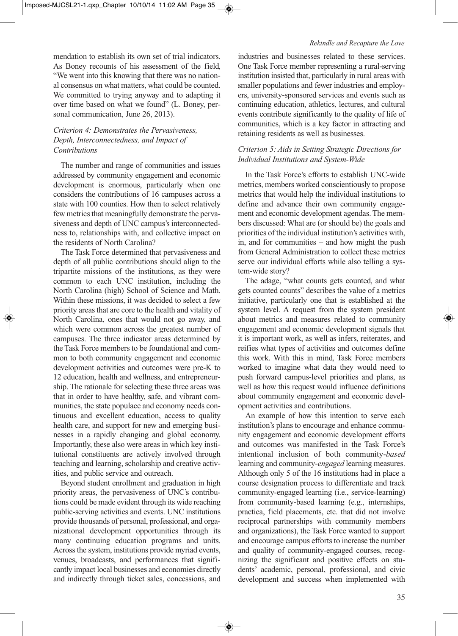mendation to establish its own set of trial indicators. As Boney recounts of his assessment of the field, "We went into this knowing that there was no national consensus on what matters, what could be counted. We committed to trying anyway and to adapting it over time based on what we found" (L. Boney, personal communication, June 26, 2013).

### *Criterion 4: Demonstrates the Pervasiveness, Depth, Interconnectedness, and Impact of Contributions*

The number and range of communities and issues addressed by community engagement and economic development is enormous, particularly when one considers the contributions of 16 campuses across a state with 100 counties. How then to select relatively few metrics that meaningfully demonstrate the pervasiveness and depth of UNC campus's interconnectedness to, relationships with, and collective impact on the residents of North Carolina?

The Task Force determined that pervasiveness and depth of all public contributions should align to the tripartite missions of the institutions, as they were common to each UNC institution, including the North Carolina (high) School of Science and Math. Within these missions, it was decided to select a few priority areas that are core to the health and vitality of North Carolina, ones that would not go away, and which were common across the greatest number of campuses. The three indicator areas determined by the Task Force members to be foundational and common to both community engagement and economic development activities and outcomes were pre-K to 12 education, health and wellness, and entrepreneurship. The rationale for selecting these three areas was that in order to have healthy, safe, and vibrant communities, the state populace and economy needs continuous and excellent education, access to quality health care, and support for new and emerging businesses in a rapidly changing and global economy. Importantly, these also were areas in which key institutional constituents are actively involved through teaching and learning, scholarship and creative activities, and public service and outreach.

Beyond student enrollment and graduation in high priority areas, the pervasiveness of UNC's contributions could be made evident through its wide reaching public-serving activities and events. UNC institutions provide thousands of personal, professional, and organizational development opportunities through its many continuing education programs and units. Across the system, institutions provide myriad events, venues, broadcasts, and performances that significantly impact local businesses and economies directly and indirectly through ticket sales, concessions, and

industries and businesses related to these services. One Task Force member representing a rural-serving institution insisted that, particularly in rural areas with smaller populations and fewer industries and employers, university-sponsored services and events such as continuing education, athletics, lectures, and cultural events contribute significantly to the quality of life of communities, which is a key factor in attracting and retaining residents as well as businesses.

# *Criterion 5: Aids in Setting Strategic Directions for Individual Institutions and System-Wide*

In the Task Force's efforts to establish UNC-wide metrics, members worked conscientiously to propose metrics that would help the individual institutions to define and advance their own community engagement and economic development agendas. The members discussed: What are (or should be) the goals and priorities of the individual institution's activities with, in, and for communities – and how might the push from General Administration to collect these metrics serve our individual efforts while also telling a system-wide story?

The adage, "what counts gets counted, and what gets counted counts" describes the value of a metrics initiative, particularly one that is established at the system level. A request from the system president about metrics and measures related to community engagement and economic development signals that it is important work, as well as infers, reiterates, and reifies what types of activities and outcomes define this work. With this in mind, Task Force members worked to imagine what data they would need to push forward campus-level priorities and plans, as well as how this request would influence definitions about community engagement and economic development activities and contributions.

An example of how this intention to serve each institution's plans to encourage and enhance community engagement and economic development efforts and outcomes was manifested in the Task Force's intentional inclusion of both community-*based* learning and community-*engaged* learning measures. Although only 5 of the 16 institutions had in place a course designation process to differentiate and track community-engaged learning (i.e., service-learning) from community-based learning (e.g., internships, practica, field placements, etc. that did not involve reciprocal partnerships with community members and organizations), the Task Force wanted to support and encourage campus efforts to increase the number and quality of community-engaged courses, recognizing the significant and positive effects on students' academic, personal, professional, and civic development and success when implemented with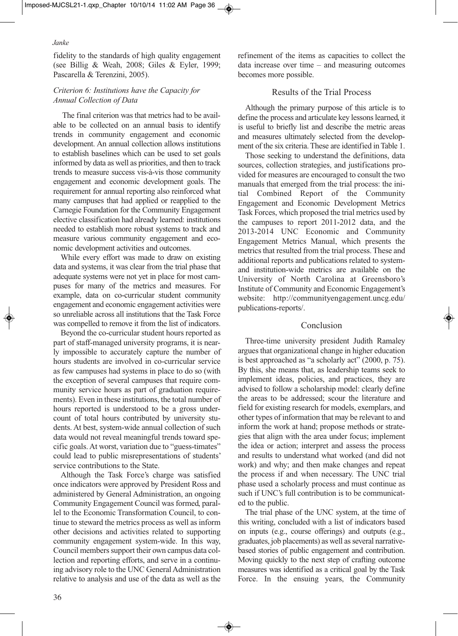fidelity to the standards of high quality engagement (see Billig & Weah, 2008; Giles & Eyler, 1999; Pascarella & Terenzini, 2005).

# *Criterion 6: Institutions have the Capacity for Annual Collection of Data*

The final criterion was that metrics had to be available to be collected on an annual basis to identify trends in community engagement and economic development. An annual collection allows institutions to establish baselines which can be used to set goals informed by data as well as priorities, and then to track trends to measure success vis-à-vis those community engagement and economic development goals. The requirement for annual reporting also reinforced what many campuses that had applied or reapplied to the Carnegie Foundation for the Community Engagement elective classification had already learned: institutions needed to establish more robust systems to track and measure various community engagement and economic development activities and outcomes.

While every effort was made to draw on existing data and systems, it was clear from the trial phase that adequate systems were not yet in place for most campuses for many of the metrics and measures. For example, data on co-curricular student community engagement and economic engagement activities were so unreliable across all institutions that the Task Force was compelled to remove it from the list of indicators.

Beyond the co-curricular student hours reported as part of staff-managed university programs, it is nearly impossible to accurately capture the number of hours students are involved in co-curricular service as few campuses had systems in place to do so (with the exception of several campuses that require community service hours as part of graduation requirements). Even in these institutions, the total number of hours reported is understood to be a gross undercount of total hours contributed by university students. At best, system-wide annual collection of such data would not reveal meaningful trends toward specific goals. At worst, variation due to "guess-timates" could lead to public misrepresentations of students' service contributions to the State.

Although the Task Force's charge was satisfied once indicators were approved by President Ross and administered by General Administration, an ongoing Community Engagement Council was formed, parallel to the Economic Transformation Council, to continue to steward the metrics process as well as inform other decisions and activities related to supporting community engagement system-wide. In this way, Council members support their own campus data collection and reporting efforts, and serve in a continuing advisory role to the UNC General Administration relative to analysis and use of the data as well as the refinement of the items as capacities to collect the data increase over time – and measuring outcomes becomes more possible.

# Results of the Trial Process

Although the primary purpose of this article is to define the process and articulate key lessons learned, it is useful to briefly list and describe the metric areas and measures ultimately selected from the development of the six criteria. These are identified in Table 1.

Those seeking to understand the definitions, data sources, collection strategies, and justifications provided for measures are encouraged to consult the two manuals that emerged from the trial process: the initial Combined Report of the Community Engagement and Economic Development Metrics Task Forces, which proposed the trial metrics used by the campuses to report 2011-2012 data, and the 2013-2014 UNC Economic and Community Engagement Metrics Manual, which presents the metrics that resulted from the trial process. These and additional reports and publications related to systemand institution-wide metrics are available on the University of North Carolina at Greensboro's Institute of Community and Economic Engagement's website: http://communityengagement.uncg.edu/ publications-reports/.

# Conclusion

Three-time university president Judith Ramaley argues that organizational change in higher education is best approached as "a scholarly act" (2000, p. 75). By this, she means that, as leadership teams seek to implement ideas, policies, and practices, they are advised to follow a scholarship model: clearly define the areas to be addressed; scour the literature and field for existing research for models, exemplars, and other types of information that may be relevant to and inform the work at hand; propose methods or strategies that align with the area under focus; implement the idea or action; interpret and assess the process and results to understand what worked (and did not work) and why; and then make changes and repeat the process if and when necessary. The UNC trial phase used a scholarly process and must continue as such if UNC's full contribution is to be communicated to the public.

The trial phase of the UNC system, at the time of this writing, concluded with a list of indicators based on inputs (e.g., course offerings) and outputs (e.g., graduates, job placements) as well as several narrativebased stories of public engagement and contribution. Moving quickly to the next step of crafting outcome measures was identified as a critical goal by the Task Force. In the ensuing years, the Community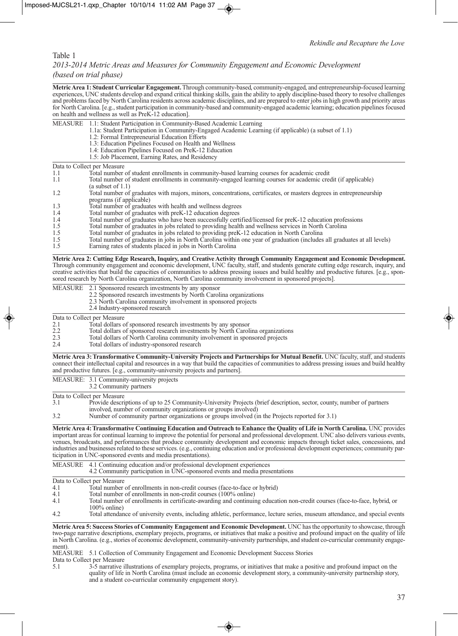#### Table 1

### *2013-2014 Metric Areas and Measures for Community Engagement and Economic Development (based on trial phase)*

**Metric Area 1: Student Curricular Engagement.**Through community-based, community-engaged, and entrepreneurship-focused learning experiences, UNC students develop and expand critical thinking skills, gain the ability to apply discipline-based theory to resolve challenges and problems faced by North Carolina residents across academic disciplines, and are prepared to enter jobs in high growth and priority areas for North Carolina. [e.g., student participation in community-based and community-engaged academic learning; education pipelines focused on health and wellness as well as PreK-12 education].

| MEASURE 1.1: Student Participation in Community-Based Academic Learning |  |
|-------------------------------------------------------------------------|--|
|                                                                         |  |

- 1.1a: Student Participation in Community-Engaged Academic Learning (if applicable) (a subset of 1.1)
	- 1.2: Formal Entrepreneurial Education Efforts
	- 1.3: Education Pipelines Focused on Health and Wellness
	- 1.4: Education Pipelines Focused on PreK-12 Education
	- 1.5: Job Placement, Earning Rates, and Residency

Data to Collect per Measure

| Total number of student enrollments in community-based learning courses for academic credit                              |
|--------------------------------------------------------------------------------------------------------------------------|
| Total number of student enrollments in community-engaged learning courses for academic credit (if applicable)            |
| $(a$ subset of 1.1)                                                                                                      |
| Total number of graduates with majors, minors, concentrations, certificates, or masters degrees in entrepreneurship      |
| programs (if applicable)                                                                                                 |
| Total number of graduates with health and wellness degrees                                                               |
| Total number of graduates with preK-12 education degrees                                                                 |
| Total number of graduates who have been successfully certified/licensed for preK-12 education professions                |
| Total number of graduates in jobs related to providing health and wellness services in North Carolina                    |
| Total number of graduates in jobs related to providing preK-12 education in North Carolina                               |
| Total number of graduates in jobs in North Carolina within one year of graduation (includes all graduates at all levels) |
|                                                                                                                          |

1.5 Earning rates of students placed in jobs in North Carolina

**Metric Area 2: Cutting Edge Research, Inquiry, and Creative Activity through Community Engagement and Economic Development.** Through community engagement and economic development, UNC faculty, staff, and students generate cutting edge research, inquiry, and creative activities that build the capacities of communities to address pressing issues and build healthy and productive futures. [e.g., sponsored research by North Carolina organization, North Carolina community involvement in sponsored projects].

|     | MEASURE 2.1 Sponsored research investments by any sponsor<br>2.2 Sponsored research investments by North Carolina organizations |
|-----|---------------------------------------------------------------------------------------------------------------------------------|
|     | 2.3 North Carolina community involvement in sponsored projects<br>2.4 Industry-sponsored research                               |
|     | Data to Collect per Measure                                                                                                     |
| 2.1 | Total dollars of sponsored research investments by any sponsor                                                                  |
| 2.2 | Total dollars of sponsored research investments by North Carolina organizations                                                 |
| 2.3 | Total dollars of North Carolina community involvement in sponsored projects                                                     |

2.4 Total dollars of industry-sponsored research

**Metric Area 3: Transformative Community-University Projects and Partnerships for Mutual Benefit.** UNC faculty, staff, and students connect their intellectual capital and resources in a way that build the capacities of communities to address pressing issues and build healthy and productive futures. [e.g., community-university projects and partners].

MEASURE: 3.1 Community-university projects 3.2 Community partners Data to Collect per Measure<br>3.1 Provide descri-3.1 Provide descriptions of up to 25 Community-University Projects (brief description, sector, county, number of partners involved, number of community organizations or groups involved) 3.2 Number of community partner organizations or groups involved (in the Projects reported for 3.1)

**Metric Area 4: Transformative Continuing Education and Outreach to Enhance the Quality of Life in North Carolina.** UNC provides important areas for continual learning to improve the potential for personal and professional development. UNC also delivers various events, venues, broadcasts, and performances that produce community development and economic impacts through ticket sales, concessions, and industries and businesses related to these services. (e.g., continuing education and/or professional development experiences; community participation in UNC-sponsored events and media presentations).

|     | MEASURE 4.1 Continuing education and/or professional development experiences<br>4.2 Community participation in UNC-sponsored events and media presentations |
|-----|-------------------------------------------------------------------------------------------------------------------------------------------------------------|
|     | Data to Collect per Measure                                                                                                                                 |
| 4.1 | Total number of enrollments in non-credit courses (face-to-face or hybrid)                                                                                  |
| 4.1 | Total number of enrollments in non-credit courses (100% online)                                                                                             |
| 4.1 | Total number of enrollments in certificate-awarding and continuing education non-credit courses (face-to-face, hybrid, or<br>$100\%$ online)                |
| 4.2 | Total attendance of university events, including athletic, performance, lecture series, museum attendance, and special events                               |

**Metric Area 5: Success Stories of Community Engagement and Economic Development.** UNC has the opportunity to showcase, through two-page narrative descriptions, exemplary projects, programs, or initiatives that make a positive and profound impact on the quality of life in North Carolina. (e.g., stories of economic development, community-university partnerships, and student co-curricular community engagement).

MEASURE 5.1 Collection of Community Engagement and Economic Development Success Stories

Data to Collect per Measure<br>5.1 3-5 narrative i 5.1 3-5 narrative illustrations of exemplary projects, programs, or initiatives that make a positive and profound impact on the quality of life in North Carolina (must include an economic development story, a community-university partnership story, and a student co-curricular community engagement story).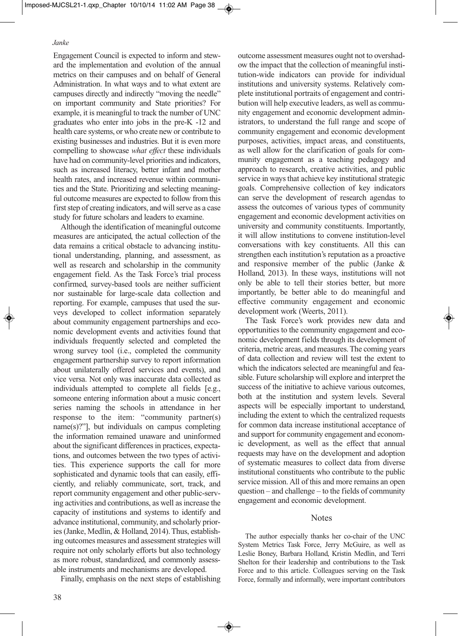Engagement Council is expected to inform and steward the implementation and evolution of the annual metrics on their campuses and on behalf of General Administration. In what ways and to what extent are campuses directly and indirectly "moving the needle" on important community and State priorities? For example, it is meaningful to track the number of UNC graduates who enter into jobs in the pre-K -12 and health care systems, or who create new or contribute to existing businesses and industries. But it is even more compelling to showcase *what effect* these individuals have had on community-level priorities and indicators, such as increased literacy, better infant and mother health rates, and increased revenue within communities and the State. Prioritizing and selecting meaningful outcome measures are expected to follow from this first step of creating indicators, and will serve as a case study for future scholars and leaders to examine.

Although the identification of meaningful outcome measures are anticipated, the actual collection of the data remains a critical obstacle to advancing institutional understanding, planning, and assessment, as well as research and scholarship in the community engagement field. As the Task Force's trial process confirmed, survey-based tools are neither sufficient nor sustainable for large-scale data collection and reporting. For example, campuses that used the surveys developed to collect information separately about community engagement partnerships and economic development events and activities found that individuals frequently selected and completed the wrong survey tool (i.e., completed the community engagement partnership survey to report information about unilaterally offered services and events), and vice versa. Not only was inaccurate data collected as individuals attempted to complete all fields [e.g., someone entering information about a music concert series naming the schools in attendance in her response to the item: "community partner(s) name(s)?"], but individuals on campus completing the information remained unaware and uninformed about the significant differences in practices, expectations, and outcomes between the two types of activities. This experience supports the call for more sophisticated and dynamic tools that can easily, efficiently, and reliably communicate, sort, track, and report community engagement and other public-serving activities and contributions, as well as increase the capacity of institutions and systems to identify and advance institutional, community, and scholarly priories (Janke, Medlin, & Holland, 2014). Thus, establishing outcomes measures and assessment strategies will require not only scholarly efforts but also technology as more robust, standardized, and commonly assessable instruments and mechanisms are developed.

Finally, emphasis on the next steps of establishing

ow the impact that the collection of meaningful institution-wide indicators can provide for individual institutions and university systems. Relatively complete institutional portraits of engagement and contribution will help executive leaders, as well as community engagement and economic development administrators, to understand the full range and scope of community engagement and economic development purposes, activities, impact areas, and constituents, as well allow for the clarification of goals for community engagement as a teaching pedagogy and approach to research, creative activities, and public service in ways that achieve key institutional strategic goals. Comprehensive collection of key indicators can serve the development of research agendas to assess the outcomes of various types of community engagement and economic development activities on university and community constituents. Importantly, it will allow institutions to convene institution-level conversations with key constituents. All this can strengthen each institution's reputation as a proactive and responsive member of the public (Janke & Holland, 2013). In these ways, institutions will not only be able to tell their stories better, but more importantly, be better able to do meaningful and effective community engagement and economic development work (Weerts, 2011).

outcome assessment measures ought not to overshad-

The Task Force's work provides new data and opportunities to the community engagement and economic development fields through its development of criteria, metric areas, and measures. The coming years of data collection and review will test the extent to which the indicators selected are meaningful and feasible. Future scholarship will explore and interpret the success of the initiative to achieve various outcomes, both at the institution and system levels. Several aspects will be especially important to understand, including the extent to which the centralized requests for common data increase institutional acceptance of and support for community engagement and economic development, as well as the effect that annual requests may have on the development and adoption of systematic measures to collect data from diverse institutional constituents who contribute to the public service mission. All of this and more remains an open question – and challenge – to the fields of community engagement and economic development.

### Notes

The author especially thanks her co-chair of the UNC System Metrics Task Force, Jerry McGuire, as well as Leslie Boney, Barbara Holland, Kristin Medlin, and Terri Shelton for their leadership and contributions to the Task Force and to this article. Colleagues serving on the Task Force, formally and informally, were important contributors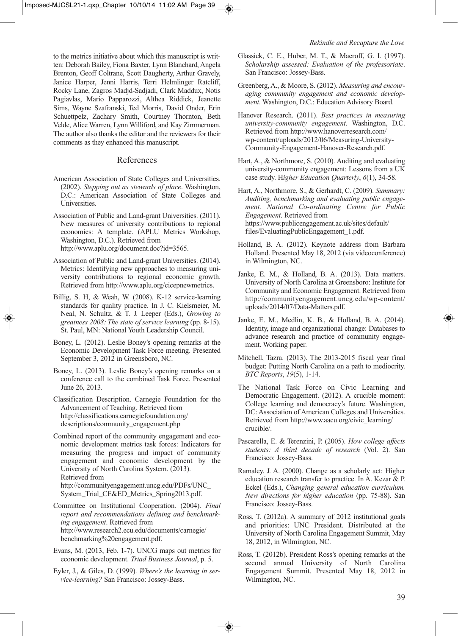to the metrics initiative about which this manuscript is written: Deborah Bailey, Fiona Baxter, Lynn Blanchard, Angela Brenton, Geoff Coltrane, Scott Daugherty, Arthur Gravely, Janice Harper, Jenni Harris, Terri Helmlinger Ratcliff, Rocky Lane, Zagros Madjd-Sadjadi, Clark Maddux, Notis Pagiavlas, Mario Papparozzi, Althea Riddick, Jeanette Sims, Wayne Szafranski, Ted Morris, David Onder, Erin Schuettpelz, Zachary Smith, Courtney Thornton, Beth Velde, Alice Warren, Lynn Williford, and Kay Zimmerman. The author also thanks the editor and the reviewers for their comments as they enhanced this manuscript.

### References

- American Association of State Colleges and Universities. (2002). *Stepping out as stewards of place*. Washington, D.C.: American Association of State Colleges and Universities.
- Association of Public and Land-grant Universities. (2011). New measures of university contributions to regional economies: A template. (APLU Metrics Workshop, Washington, D.C.). Retrieved from http://www.aplu.org/document.doc?id=3565.
- Association of Public and Land-grant Universities. (2014). Metrics: Identifying new approaches to measuring university contributions to regional economic growth. Retrieved from http://www.aplu.org/cicepnewmetrics.
- Billig, S. H, & Weah, W. (2008). K-12 service-learning standards for quality practice. In J. C. Kielsmeier, M. Neal, N. Schultz, & T. J. Leeper (Eds.), *Growing to greatness 2008: The state of service learning* (pp. 8-15). St. Paul, MN: National Youth Leadership Council.
- Boney, L. (2012). Leslie Boney's opening remarks at the Economic Development Task Force meeting. Presented September 3, 2012 in Greensboro, NC.
- Boney, L. (2013). Leslie Boney's opening remarks on a conference call to the combined Task Force. Presented June 26, 2013.
- Classification Description. Carnegie Foundation for the Advancement of Teaching. Retrieved from http://classifications.carnegiefoundation.org/ descriptions/community\_engagement.php
- Combined report of the community engagement and economic development metrics task forces: Indicators for measuring the progress and impact of community engagement and economic development by the University of North Carolina System. (2013). Retrieved from http://communityengagement.uncg.edu/PDFs/UNC\_ System\_Trial\_CE&ED\_Metrics\_Spring2013.pdf.
- Committee on Institutional Cooperation. (2004). *Final report and recommendations defining and benchmarking engagement*. Retrieved from http://www.research2.ecu.edu/documents/carnegie/ benchmarking%20engagement.pdf.
- Evans, M. (2013, Feb. 1-7). UNCG maps out metrics for economic development. *Triad Business Journal*, p. 5.
- Eyler, J., & Giles, D. (1999). *Where's the learning in service-learning?* San Francisco: Jossey-Bass.
- Glassick, C. E., Huber, M. T., & Maeroff, G. I. (1997). *Scholarship assessed: Evaluation of the professoriate*. San Francisco: Jossey-Bass.
- Greenberg, A., & Moore, S. (2012). *Measuring and encouraging community engagement and economic development*. Washington, D.C.: Education Advisory Board.
- Hanover Research. (2011). *Best practices in measuring university-community engagement*. Washington, D.C. Retrieved from http://www.hanoverresearch.com/ wp-content/uploads/2012/06/Measuring-University-Community-Engagement-Hanover-Research.pdf.
- Hart, A., & Northmore, S. (2010). Auditing and evaluating university-community engagement: Lessons from a UK case study. H*igher Education Quarterly*, *6*(1), 34-58.

Hart, A., Northmore, S., & Gerhardt, C. (2009). *Summary: Auditing, benchmarking and evaluating public engagement. National Co-ordinating Centre for Public Engagement*. Retrieved from https://www.publicengagement.ac.uk/sites/default/ files/EvaluatingPublicEngagement\_1.pdf.

- Holland, B. A. (2012). Keynote address from Barbara Holland. Presented May 18, 2012 (via videoconference) in Wilmington, NC.
- Janke, E. M., & Holland, B. A. (2013). Data matters. University of North Carolina at Greensboro: Institute for Community and Economic Engagement. Retrieved from http://communityengagement.uncg.edu/wp-content/ uploads/2014/07/Data-Matters.pdf.
- Janke, E. M., Medlin, K. B., & Holland, B. A. (2014). Identity, image and organizational change: Databases to advance research and practice of community engagement. Working paper.
- Mitchell, Tazra. (2013). The 2013-2015 fiscal year final budget: Putting North Carolina on a path to mediocrity. *BTC Reports*, *19*(5), 1-14.
- The National Task Force on Civic Learning and Democratic Engagement. (2012). A crucible moment: College learning and democracy's future. Washington, DC: Association of American Colleges and Universities. Retrieved from http://www.aacu.org/civic\_learning/ crucible/.
- Pascarella, E. & Terenzini, P. (2005). *How college affects students: A third decade of research* (Vol. 2). San Francisco: Jossey-Bass.
- Ramaley. J. A. (2000). Change as a scholarly act: Higher education research transfer to practice. In A. Kezar & P. Eckel (Eds.), *Changing general education curriculum. New directions for higher education* (pp. 75-88). San Francisco: Jossey-Bass.
- Ross, T. (2012a). A summary of 2012 institutional goals and priorities: UNC President. Distributed at the University of North Carolina Engagement Summit, May 18, 2012, in Wilmington, NC.
- Ross, T. (2012b). President Ross's opening remarks at the second annual University of North Carolina Engagement Summit. Presented May 18, 2012 in Wilmington, NC.